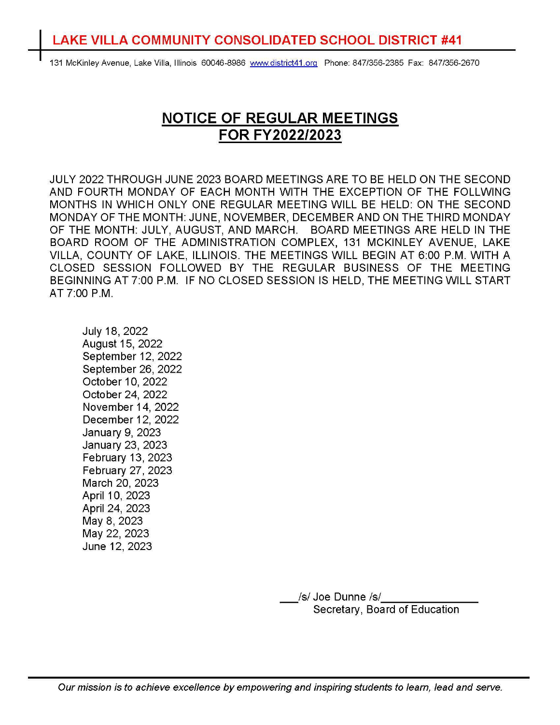## **LAKE VILLA COMMUNITY CONSOLIDATED SCHOOL DISTRICT #41**

131 McKinley Avenue, Lake Villa, Illinois 60046-8986 www.district41.org Phone: 847/356-2385 Fax: 847/356-2670

## **NOTICE OF REGULAR MEETINGS FOR FY2022/2023**

JULY 2022 THROUGH JUNE 2023 BOARD MEETINGS ARE TO BE HELD ON THE SECOND AND FOURTH MONDAY OF EACH MONTH WITH THE EXCEPTION OF THE FOLLWING MONTHS IN WHICH ONLY ONE REGULAR MEETING WILL BE HELD: ON THE SECOND MONDAY OF THE MONTH: JUNE, NOVEMBER, DECEMBER AND ON THE THIRD MONDAY OF THE MONTH: JULY, AUGUST, AND MARCH. BOARD MEETINGS ARE HELD IN THE BOARD ROOM OF THE ADMINISTRATION COMPLEX, 131 MCKINLEY AVENUE, LAKE VILLA, COUNTY OF LAKE, ILLINOIS. THE MEETINGS WILL BEGIN AT 6:00 P.M. WITH A CLOSED SESSION FOLLOWED BY THE REGULAR BUSINESS OF THE MEETING BEGINNING AT 7:00 P.M. IF NO CLOSED SESSION IS HELD, THE MEETING WILL START AT 7:00 P.M.

July 18, 2022 August 15, 2022 September 12, 2022 September 26, 2022 October 10, 2022 October 24, 2022 November 14, 2022 December 12, 2022 January 9, 2023 January 23, 2023 February 13, 2023 February 27, 2023 March 20, 2023 April 10, 2023 April 24, 2023 May 8, 2023 May 22, 2023 June 12, 2023

> Joe Dunne /s/\_<br>Secretary, Board of Education /s/ Joe Dunne /s/